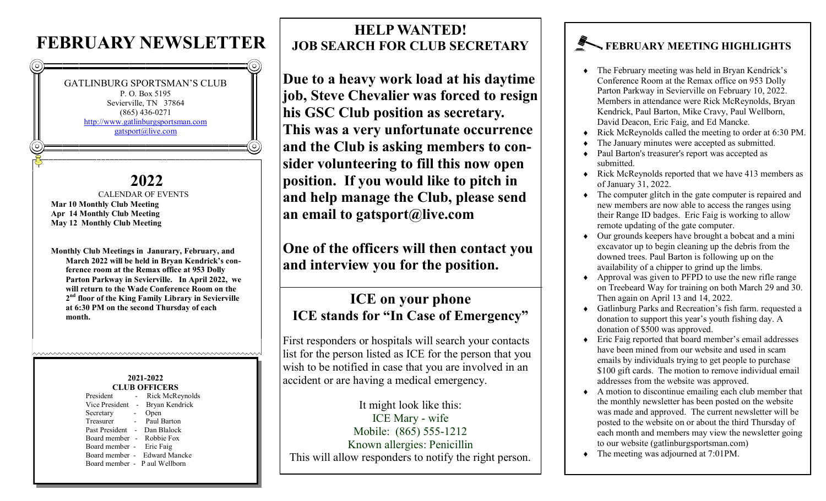## **FEBRUARY NEWSLETTER**



**Parton Parkway in Sevierville. In April 2022, we will return to the Wade Conference Room on the 2 nd floor of the King Family Library in Sevierville at 6:30 PM on the second Thursday of each month.**

#### **2021-2022 CLUB OFFICERS**

hwwwwwwwwwwwwwwwwwwwwwwwwwwww

| ULUB UFFIULKS             |        |                               |
|---------------------------|--------|-------------------------------|
| President                 |        | Rick McReynolds               |
| Vice President            | $\sim$ | Bryan Kendrick                |
| Secretary                 | $\sim$ | Open                          |
| Treasurer                 |        | - Paul Barton                 |
| Past President -          |        | Dan Blalock                   |
| Board member - Robbie Fox |        |                               |
| Board member - Eric Faig  |        |                               |
|                           |        | Board member - Edward Mancke  |
|                           |        | Board member - P aul Wellborn |
|                           |        |                               |

### **HELP WANTED! JOB SEARCH FOR CLUB SECRETARY**

**Due to a heavy work load at his daytime job, Steve Chevalier was forced to resign his GSC Club position as secretary. This was a very unfortunate occurrence and the Club is asking members to consider volunteering to fill this now open position. If you would like to pitch in and help manage the Club, please send an email to gatsport@live.com** 

**One of the officers will then contact you and interview you for the position.**

#### **ICE on your phone ICE stands for "In Case of Emergency"**

First responders or hospitals will search your contacts list for the person listed as ICE for the person that you wish to be notified in case that you are involved in an accident or are having a medical emergency.

It might look like this: ICE Mary - wife Mobile: (865) 555-1212 Known allergies: Penicillin This will allow responders to notify the right person.

#### **FEBRUARY MEETING HIGHLIGHTS**

- The February meeting was held in Bryan Kendrick's Conference Room at the Remax office on 953 Dolly Parton Parkway in Sevierville on February 10, 2022. Members in attendance were Rick McReynolds, Bryan Kendrick, Paul Barton, Mike Cravy, Paul Wellborn, David Deacon, Eric Faig, and Ed Mancke.
- Rick McReynolds called the meeting to order at 6:30 PM.
- The January minutes were accepted as submitted.
- Paul Barton's treasurer's report was accepted as submitted.
- Rick McReynolds reported that we have 413 members as of January 31, 2022.
- The computer glitch in the gate computer is repaired and new members are now able to access the ranges using their Range ID badges. Eric Faig is working to allow remote updating of the gate computer.
- Our grounds keepers have brought a bobcat and a mini excavator up to begin cleaning up the debris from the downed trees. Paul Barton is following up on the availability of a chipper to grind up the limbs.
- $\leftrightarrow$  Approval was given to PFPD to use the new rifle range on Treebeard Way for training on both March 29 and 30. Then again on April 13 and 14, 2022.
- Gatlinburg Parks and Recreation's fish farm. requested a donation to support this year's youth fishing day. A donation of \$500 was approved.
- Eric Faig reported that board member's email addresses have been mined from our website and used in scam emails by individuals trying to get people to purchase \$100 gift cards. The motion to remove individual email addresses from the website was approved.
- A motion to discontinue emailing each club member that the monthly newsletter has been posted on the website was made and approved. The current newsletter will be posted to the website on or about the third Thursday of each month and members may view the newsletter going to our website (gatlinburgsportsman.com)
- The meeting was adjourned at 7:01PM.